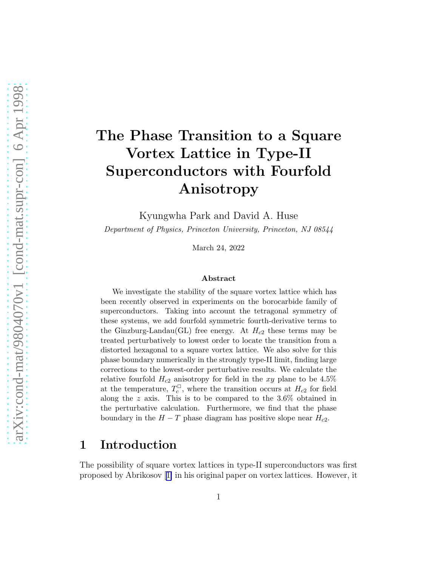# The Phase Transition to a Square Vortex Lattice in Type-II Superconductors with Fourfold Anisotropy

Kyungwha Park and David A. Huse

Department of Physics, Princeton University, Princeton, NJ 08544

March 24, 2022

#### Abstract

We investigate the stability of the square vortex lattice which has been recently observed in experiments on the borocarbide family of superconductors. Taking into account the tetragonal symmetry of these systems, we add fourfold symmetric fourth-derivative terms to the Ginzburg-Landau(GL) free energy. At  $H_{c2}$  these terms may be treated perturbatively to lowest order to locate the transition from a distorted hexagonal to a square vortex lattice. We also solve for this phase boundary numerically in the strongly type-II limit, finding large corrections to the lowest-order perturbative results. We calculate the relative fourfold  $H_{c2}$  anisotropy for field in the xy plane to be 4.5% at the temperature,  $T_c^{\Box}$  $c^{\text{U}}$ , where the transition occurs at  $H_{c2}$  for field along the z axis. This is to be compared to the 3.6% obtained in the perturbative calculation. Furthermore, we find that the phase boundary in the  $H - T$  phase diagram has positive slope near  $H_{c2}$ .

#### 1 Introduction

The possibility of square vortex lattices in type-II superconductors was first proposed by Abrikosov[[1\]](#page-11-0) in his original paper on vortex lattices. However, it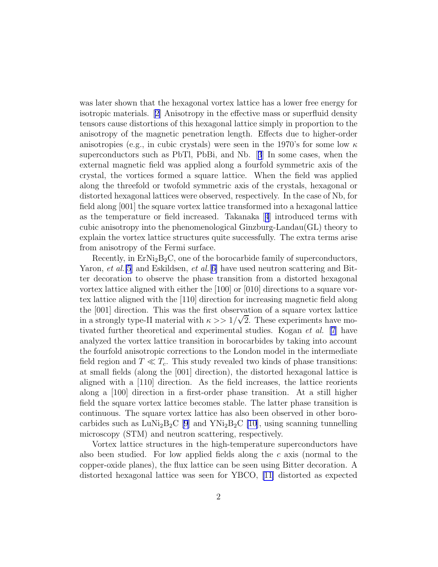was later shown that the hexagonal vortex lattice has a lower free energy for isotropic materials.[[2\]](#page-11-0) Anisotropy in the effective mass or superfluid density tensors cause distortions of this hexagonal lattice simply in proportion to the anisotropy of the magnetic penetration length. Effects due to higher-order anisotropies (e.g., in cubic crystals) were seen in the 1970's for some low  $\kappa$ superconductors such as PbTl, PbBi, and Nb.[[3](#page-11-0)] In some cases, when the external magnetic field was applied along a fourfold symmetric axis of the crystal, the vortices formed a square lattice. When the field was applied along the threefold or twofold symmetric axis of the crystals, hexagonal or distorted hexagonal lattices were observed, respectively. In the case of Nb, for field along [001] the square vortex lattice transformed into a hexagonal lattice as the temperature or field increased. Takanaka[[4](#page-12-0)] introduced terms with cubic anisotropy into the phenomenological Ginzburg-Landau(GL) theory to explain the vortex lattice structures quite successfully. The extra terms arise from anisotropy of the Fermi surface.

Recently, in  $ErNi<sub>2</sub>B<sub>2</sub>C$ , one of the borocarbide family of superconductors, Yaron, et al.<sup>[\[5](#page-12-0)]</sup> and Eskildsen, et al.<sup>[[6\]](#page-12-0)</sup> have used neutron scattering and Bitter decoration to observe the phase transition from a distorted hexagonal vortex lattice aligned with either the [100] or [010] directions to a square vortex lattice aligned with the [110] direction for increasing magnetic field along the [001] direction. This was the first observation of a square vortex lattice in a strongly type-II material with  $\kappa >> 1/\sqrt{2}$ . These experiments have motivated further theoretical and experimental studies. Kogan et al. [\[7](#page-12-0)] have analyzed the vortex lattice transition in borocarbides by taking into account the fourfold anisotropic corrections to the London model in the intermediate field region and  $T \ll T_c$ . This study revealed two kinds of phase transitions: at small fields (along the [001] direction), the distorted hexagonal lattice is aligned with a [110] direction. As the field increases, the lattice reorients along a [100] direction in a first-order phase transition. At a still higher field the square vortex lattice becomes stable. The latter phase transition is continuous. The square vortex lattice has also been observed in other borocarbides such as  $\text{LuNi}_2\text{B}_2\text{C}$  [\[9](#page-12-0)] and  $\text{YNi}_2\text{B}_2\text{C}$  [\[10](#page-12-0)], using scanning tunnelling microscopy (STM) and neutron scattering, respectively.

Vortex lattice structures in the high-temperature superconductors have also been studied. For low applied fields along the  $c$  axis (normal to the copper-oxide planes), the flux lattice can be seen using Bitter decoration. A distorted hexagonal lattice was seen for YBCO, [\[11\]](#page-12-0) distorted as expected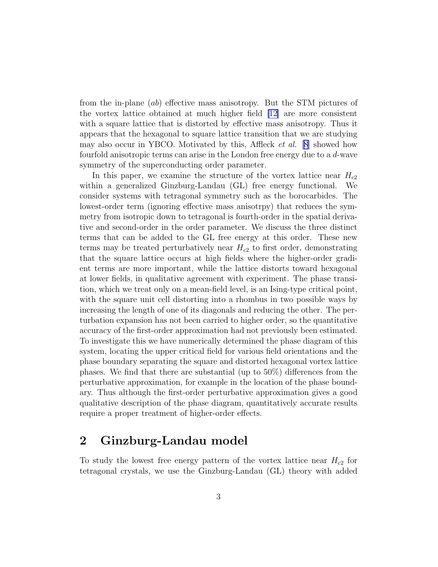from the in-plane (ab) effective mass anisotropy. But the STM pictures of the vortex lattice obtained at much higher field [\[12\]](#page-12-0) are more consistent with a square lattice that is distorted by effective mass anisotropy. Thus it appears that the hexagonal to square lattice transition that we are studying may also occur in YBCO. Motivated by this, Affleck *et al.* [\[8\]](#page-12-0) showed how fourfold anisotropic terms can arise in the London free energy due to a d-wave symmetry of the superconducting order parameter.

In this paper, we examine the structure of the vortex lattice near  $H_{c2}$ within a generalized Ginzburg-Landau (GL) free energy functional. We consider systems with tetragonal symmetry such as the borocarbides. The lowest-order term (ignoring effective mass anisotrpy) that reduces the symmetry from isotropic down to tetragonal is fourth-order in the spatial derivative and second-order in the order parameter. We discuss the three distinct terms that can be added to the GL free energy at this order. These new terms may be treated perturbatively near  $H_{c2}$  to first order, demonstrating that the square lattice occurs at high fields where the higher-order gradient terms are more important, while the lattice distorts toward hexagonal at lower fields, in qualitative agreement with experiment. The phase transition, which we treat only on a mean-field level, is an Ising-type critical point, with the square unit cell distorting into a rhombus in two possible ways by increasing the length of one of its diagonals and reducing the other. The perturbation expansion has not been carried to higher order, so the quantitative accuracy of the first-order approximation had not previously been estimated. To investigate this we have numerically determined the phase diagram of this system, locating the upper critical field for various field orientations and the phase boundary separating the square and distorted hexagonal vortex lattice phases. We find that there are substantial (up to 50%) differences from the perturbative approximation, for example in the location of the phase boundary. Thus although the first-order perturbative approximation gives a good qualitative description of the phase diagram, quantitatively accurate results require a proper treatment of higher-order effects.

# 2 Ginzburg-Landau model

To study the lowest free energy pattern of the vortex lattice near  $H_{c2}$  for tetragonal crystals, we use the Ginzburg-Landau (GL) theory with added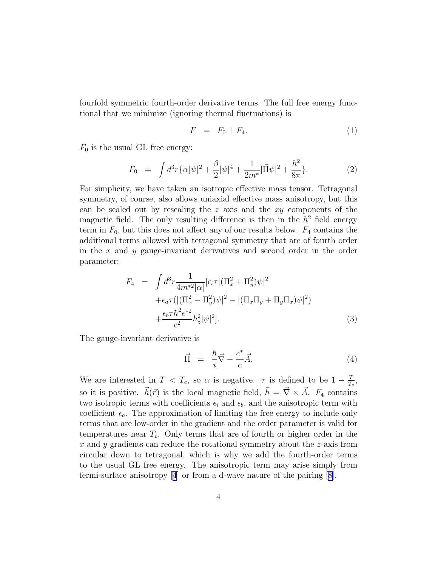<span id="page-3-0"></span>fourfold symmetric fourth-order derivative terms. The full free energy functional that we minimize (ignoring thermal fluctuations) is

$$
F = F_0 + F_4. \tag{1}
$$

 $F_0$  is the usual GL free energy:

$$
F_0 = \int d^3r \{ \alpha |\psi|^2 + \frac{\beta}{2} |\psi|^4 + \frac{1}{2m^*} |\vec{\Pi}\psi|^2 + \frac{h^2}{8\pi} \}.
$$
 (2)

For simplicity, we have taken an isotropic effective mass tensor. Tetragonal symmetry, of course, also allows uniaxial effective mass anisotropy, but this can be scaled out by rescaling the  $z$  axis and the  $xy$  components of the magnetic field. The only resulting difference is then in the  $h^2$  field energy term in  $F_0$ , but this does not affect any of our results below.  $F_4$  contains the additional terms allowed with tetragonal symmetry that are of fourth order in the x and y gauge-invariant derivatives and second order in the order parameter:

$$
F_4 = \int d^3r \frac{1}{4m^{*2}|\alpha|} \left[\epsilon_i \tau \left| \left(\Pi_x^2 + \Pi_y^2\right) \psi \right|^2 \right. \\
\left. + \epsilon_a \tau \left( \left| \left(\Pi_x^2 - \Pi_y^2\right) \psi \right|^2 - \left| \left(\Pi_x \Pi_y + \Pi_y \Pi_x\right) \psi \right|^2 \right) \right. \\
\left. + \frac{\epsilon_b \tau \hbar^2 e^{*2}}{c^2} h_z^2 |\psi|^2 \right].\n\tag{3}
$$

The gauge-invariant derivative is

$$
\vec{\Pi} = \frac{\hbar}{i} \vec{\nabla} - \frac{e^*}{c} \vec{A}.
$$
 (4)

We are interested in  $T < T_c$ , so  $\alpha$  is negative.  $\tau$  is defined to be  $1 - \frac{T_c}{T_c}$  $\frac{T}{T_c},$ so it is positive.  $\vec{h}(\vec{r})$  is the local magnetic field,  $\vec{h} = \vec{\nabla} \times \vec{A}$ .  $F_4$  contains two isotropic terms with coefficients  $\epsilon_i$  and  $\epsilon_b$ , and the anisotropic term with coefficient  $\epsilon_a$ . The approximation of limiting the free energy to include only terms that are low-order in the gradient and the order parameter is valid for temperatures near  $T_c$ . Only terms that are of fourth or higher order in the  $x$  and  $y$  gradients can reduce the rotational symmetry about the  $z$ -axis from circular down to tetragonal, which is why we add the fourth-order terms to the usual GL free energy. The anisotropic term may arise simply from fermi-surface anisotropy[[4](#page-12-0)] or from a d-wave nature of the pairing[[8\]](#page-12-0).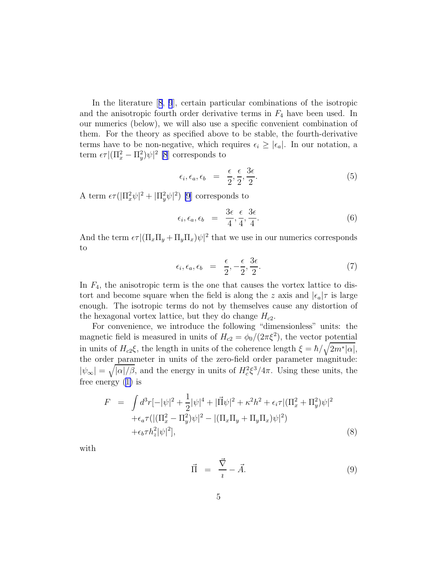In the literature[[8](#page-12-0), [9](#page-12-0)], certain particular combinations of the isotropic and the anisotropic fourth order derivative terms in  $F_4$  have been used. In our numerics (below), we will also use a specific convenient combination of them. For the theory as specified above to be stable, the fourth-derivative terms have to be non-negative, which requires  $\epsilon_i \geq |\epsilon_a|$ . In our notation, a term  $\epsilon \tau |(\Pi_x^2 - \Pi_y^2)\psi|^2$  [\[8](#page-12-0)] corresponds to

$$
\epsilon_i, \epsilon_a, \epsilon_b = \frac{\epsilon}{2}, \frac{\epsilon}{2}, \frac{3\epsilon}{2}.
$$
\n
$$
(5)
$$

A term  $\epsilon \tau (|\Pi_x^2 \psi|^2 + |\Pi_y^2 \psi|^2)$  [\[9](#page-12-0)] corresponds to

$$
\epsilon_i, \epsilon_a, \epsilon_b = \frac{3\epsilon}{4}, \frac{\epsilon}{4}, \frac{3\epsilon}{4}.
$$
\n(6)

And the term  $\epsilon \tau | (\Pi_x \Pi_y + \Pi_y \Pi_x) \psi|^2$  that we use in our numerics corresponds to

$$
\epsilon_i, \epsilon_a, \epsilon_b = \frac{\epsilon}{2}, -\frac{\epsilon}{2}, \frac{3\epsilon}{2}.
$$
\n(7)

In  $F_4$ , the anisotropic term is the one that causes the vortex lattice to distort and become square when the field is along the z axis and  $|\epsilon_a|\tau$  is large enough. The isotropic terms do not by themselves cause any distortion of the hexagonal vortex lattice, but they do change  $H_{c2}$ .

For convenience, we introduce the following "dimensionless" units: the magnetic field is measured in units of  $H_{c2} = \phi_0/(2\pi\xi^2)$ , the vector potential in units of  $H_{c2}\xi$ , the length in units of the coherence length  $\xi = \hbar / \sqrt{2m^* |\alpha|}$ , the order parameter in units of the zero-field order parameter magnitude:  $|\psi_{\infty}| = \sqrt{|\alpha|/\beta}$ , and the energy in units of  $H_c^2 \xi^3 / 4\pi$ . Using these units, the free energy([1\)](#page-3-0) is

$$
F = \int d^3r \left[-|\psi|^2 + \frac{1}{2}|\psi|^4 + |\vec{\Pi}\psi|^2 + \kappa^2 h^2 + \epsilon_i \tau \right] (\Pi_x^2 + \Pi_y^2)\psi|^2
$$
  
 
$$
+ \epsilon_a \tau \left( |(\Pi_x^2 - \Pi_y^2)\psi|^2 - |(\Pi_x \Pi_y + \Pi_y \Pi_x)\psi|^2 \right)
$$
  
 
$$
+ \epsilon_b \tau h_z^2 |\psi|^2], \tag{8}
$$

with

$$
\vec{\Pi} = \frac{\vec{\nabla}}{i} - \vec{A}.
$$
 (9)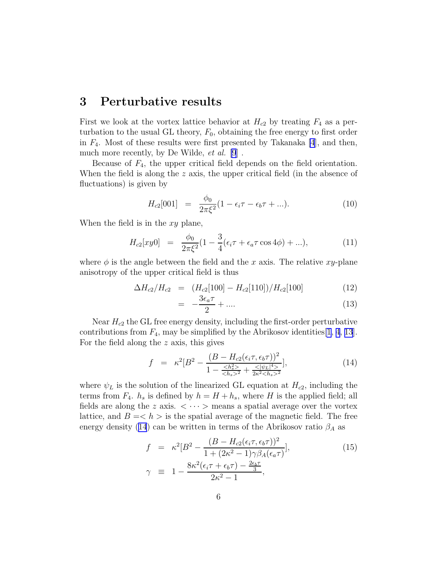### 3 Perturbative results

First we look at the vortex lattice behavior at  $H_{c2}$  by treating  $F_4$  as a perturbation to the usual GL theory,  $F_0$ , obtaining the free energy to first order in  $F_4$ . Most of these results were first presented by Takanaka [\[4](#page-12-0)], and then, much more recently, by De Wilde, et al. [\[9](#page-12-0)] .

Because of  $F_4$ , the upper critical field depends on the field orientation. When the field is along the  $z$  axis, the upper critical field (in the absence of fluctuations) is given by

$$
H_{c2}[001] = \frac{\phi_0}{2\pi\xi^2}(1 - \epsilon_i \tau - \epsilon_b \tau + \ldots). \tag{10}
$$

When the field is in the  $xy$  plane,

$$
H_{c2}[xy0] = \frac{\phi_0}{2\pi\xi^2}(1 - \frac{3}{4}(\epsilon_i \tau + \epsilon_a \tau \cos 4\phi) + ...), \tag{11}
$$

where  $\phi$  is the angle between the field and the x axis. The relative xy-plane anisotropy of the upper critical field is thus

$$
\Delta H_{c2}/H_{c2} = (H_{c2}[100] - H_{c2}[110])/H_{c2}[100]
$$
\n(12)

$$
= -\frac{3\epsilon_a \tau}{2} + \dots \tag{13}
$$

Near  $H_{c2}$  the GL free energy density, including the first-order perturbative contributions from  $F_4$ , may be simplified by the Abrikosov identities[\[1](#page-11-0), [4](#page-12-0), [13](#page-12-0)]. For the field along the z axis, this gives

$$
f = \kappa^2 [B^2 - \frac{(B - H_{c2}(\epsilon_i \tau, \epsilon_b \tau))^2}{1 - \frac{}{^2} + \frac{<|\psi_L|^4>}{2\kappa^2 < h_s>^2}}],
$$
(14)

where  $\psi_L$  is the solution of the linearized GL equation at  $H_{c2}$ , including the terms from  $F_4$ .  $h_s$  is defined by  $h = H + h_s$ , where H is the applied field; all fields are along the z axis.  $\langle \cdots \rangle$  means a spatial average over the vortex lattice, and  $B = \langle h \rangle$  is the spatial average of the magnetic field. The free energy density (14) can be written in terms of the Abrikosov ratio  $\beta_A$  as

$$
f = \kappa^2 [B^2 - \frac{(B - H_{c2}(\epsilon_i \tau, \epsilon_b \tau))^2}{1 + (2\kappa^2 - 1)\gamma \beta_A(\epsilon_a \tau)}],
$$
  
\n
$$
\gamma \equiv 1 - \frac{8\kappa^2(\epsilon_i \tau + \epsilon_b \tau) - \frac{2\epsilon_b \tau}{3}}{2\kappa^2 - 1},
$$
\n(15)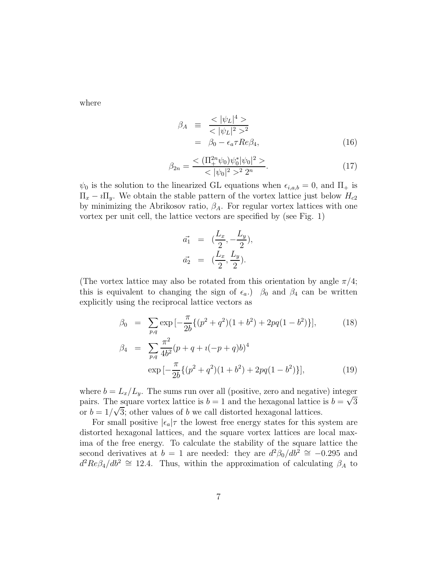where

$$
\beta_A \equiv \frac{<|\psi_L|^4>}{<|\psi_L|^2>^2} \n= \beta_0 - \epsilon_a \tau Re \beta_4,
$$
\n(16)

$$
\beta_{2n} = \frac{<( \Pi_+^{2n} \psi_0) \psi_0^* |\psi_0|^2 >}{< |\psi_0|^2 >^2 2^n}.
$$
\n(17)

 $\psi_0$  is the solution to the linearized GL equations when  $\epsilon_{i,a,b} = 0$ , and  $\Pi_+$  is  $\Pi_x - i \Pi_y$ . We obtain the stable pattern of the vortex lattice just below  $H_{c2}$ by minimizing the Abrikosov ratio,  $\beta_A$ . For regular vortex lattices with one vortex per unit cell, the lattice vectors are specified by (see Fig. 1)

$$
\vec{a_1} = (\frac{L_x}{2}, -\frac{L_y}{2}), \n\vec{a_2} = (\frac{L_x}{2}, \frac{L_y}{2}).
$$

(The vortex lattice may also be rotated from this orientation by angle  $\pi/4$ ; this is equivalent to changing the sign of  $\epsilon_a$ .)  $\beta_0$  and  $\beta_4$  can be written explicitly using the reciprocal lattice vectors as

$$
\beta_0 = \sum_{p,q} \exp\left[-\frac{\pi}{2b} \{ (p^2 + q^2)(1 + b^2) + 2pq(1 - b^2) \} \right],
$$
\n
$$
\beta_4 = \sum_{p,q} \frac{\pi^2}{4b^2} (p + q + i(-p + q)b)^4
$$
\n
$$
\exp\left[-\frac{\pi}{2b} \{ (p^2 + q^2)(1 + b^2) + 2pq(1 - b^2) \} \right],
$$
\n(19)

where  $b = L_x/L_y$ . The sums run over all (positive, zero and negative) integer pairs. The square vortex lattice is  $b = 1$  and the hexagonal lattice is  $b = \sqrt{3}$ or  $b = 1/\sqrt{3}$ ; other values of b we call distorted hexagonal lattices.

For small positive  $|\epsilon_a|\tau$  the lowest free energy states for this system are distorted hexagonal lattices, and the square vortex lattices are local maxima of the free energy. To calculate the stability of the square lattice the second derivatives at  $b = 1$  are needed: they are  $d^2\beta_0/db^2 \approx -0.295$  and  $d^2Re\beta_4/db^2 \cong 12.4$ . Thus, within the approximation of calculating  $\beta_A$  to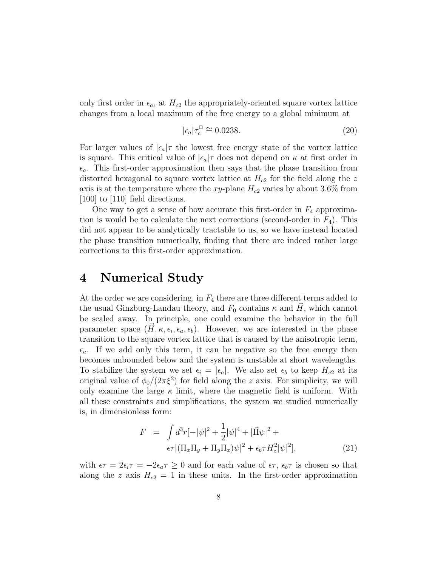<span id="page-7-0"></span>only first order in  $\epsilon_a$ , at  $H_{c2}$  the appropriately-oriented square vortex lattice changes from a local maximum of the free energy to a global minimum at

$$
|\epsilon_a|\tau_c^{\square} \cong 0.0238. \tag{20}
$$

For larger values of  $|\epsilon_a|\tau$  the lowest free energy state of the vortex lattice is square. This critical value of  $|\epsilon_a|\tau$  does not depend on  $\kappa$  at first order in  $\epsilon_a$ . This first-order approximation then says that the phase transition from distorted hexagonal to square vortex lattice at  $H_{c2}$  for the field along the z axis is at the temperature where the xy-plane  $H_{c2}$  varies by about 3.6% from  $[100]$  to  $[110]$  field directions.

One way to get a sense of how accurate this first-order in  $F_4$  approximation is would be to calculate the next corrections (second-order in  $F_4$ ). This did not appear to be analytically tractable to us, so we have instead located the phase transition numerically, finding that there are indeed rather large corrections to this first-order approximation.

# 4 Numerical Study

At the order we are considering, in  $F_4$  there are three different terms added to the usual Ginzburg-Landau theory, and  $F_0$  contains  $\kappa$  and  $H$ , which cannot be scaled away. In principle, one could examine the behavior in the full parameter space  $(\vec{H}, \kappa, \epsilon_i, \epsilon_a, \epsilon_b)$ . However, we are interested in the phase transition to the square vortex lattice that is caused by the anisotropic term,  $\epsilon_a$ . If we add only this term, it can be negative so the free energy then becomes unbounded below and the system is unstable at short wavelengths. To stabilize the system we set  $\epsilon_i = |\epsilon_a|$ . We also set  $\epsilon_b$  to keep  $H_{c2}$  at its original value of  $\phi_0/(2\pi\xi^2)$  for field along the z axis. For simplicity, we will only examine the large  $\kappa$  limit, where the magnetic field is uniform. With all these constraints and simplifications, the system we studied numerically is, in dimensionless form:

$$
F = \int d^3r \left[ -|\psi|^2 + \frac{1}{2} |\psi|^4 + |\vec{\Pi}\psi|^2 + \epsilon \tau \right] (\Pi_x \Pi_y + \Pi_y \Pi_x) \psi|^2 + \epsilon_b \tau H_z^2 |\psi|^2], \tag{21}
$$

with  $\epsilon \tau = 2\epsilon_i \tau = -2\epsilon_a \tau \geq 0$  and for each value of  $\epsilon \tau$ ,  $\epsilon_b \tau$  is chosen so that along the z axis  $H_{c2} = 1$  in these units. In the first-order approximation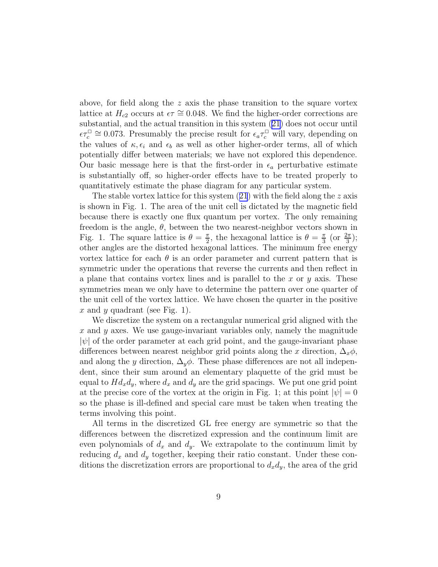above, for field along the z axis the phase transition to the square vortex lattice at  $H_{c2}$  occurs at  $\epsilon \tau \approx 0.048$ . We find the higher-order corrections are substantial, and the actual transition in this system [\(21\)](#page-7-0) does not occur until  $\epsilon \tau_c^{\square} \cong 0.073$ . Presumably the precise result for  $\epsilon_a \tau_c^{\square}$  will vary, depending on the values of  $\kappa, \epsilon_i$  and  $\epsilon_b$  as well as other higher-order terms, all of which potentially differ between materials; we have not explored this dependence. Our basic message here is that the first-order in  $\epsilon_a$  perturbative estimate is substantially off, so higher-order effects have to be treated properly to quantitatively estimate the phase diagram for any particular system.

Thestable vortex lattice for this system  $(21)$  $(21)$  $(21)$  with the field along the z axis is shown in Fig. 1. The area of the unit cell is dictated by the magnetic field because there is exactly one flux quantum per vortex. The only remaining freedom is the angle,  $\theta$ , between the two nearest-neighbor vectors shown in Fig. 1. The square lattice is  $\theta = \frac{\pi}{2}$  $\frac{\pi}{2}$ , the hexagonal lattice is  $\theta = \frac{\pi}{3}$  $\frac{\pi}{3}$  (or  $\frac{2\pi}{3}$ ); other angles are the distorted hexagonal lattices. The minimum free energy vortex lattice for each  $\theta$  is an order parameter and current pattern that is symmetric under the operations that reverse the currents and then reflect in a plane that contains vortex lines and is parallel to the  $x$  or  $y$  axis. These symmetries mean we only have to determine the pattern over one quarter of the unit cell of the vortex lattice. We have chosen the quarter in the positive x and y quadrant (see Fig. 1).

We discretize the system on a rectangular numerical grid aligned with the  $x$  and  $y$  axes. We use gauge-invariant variables only, namely the magnitude  $|\psi|$  of the order parameter at each grid point, and the gauge-invariant phase differences between nearest neighbor grid points along the x direction,  $\Delta_x \phi$ , and along the y direction,  $\Delta_y \phi$ . These phase differences are not all independent, since their sum around an elementary plaquette of the grid must be equal to  $H d_x d_y$ , where  $d_x$  and  $d_y$  are the grid spacings. We put one grid point at the precise core of the vortex at the origin in Fig. 1; at this point  $|\psi|=0$ so the phase is ill-defined and special care must be taken when treating the terms involving this point.

All terms in the discretized GL free energy are symmetric so that the differences between the discretized expression and the continuum limit are even polynomials of  $d_x$  and  $d_y$ . We extrapolate to the continuum limit by reducing  $d_x$  and  $d_y$  together, keeping their ratio constant. Under these conditions the discretization errors are proportional to  $d_x d_y$ , the area of the grid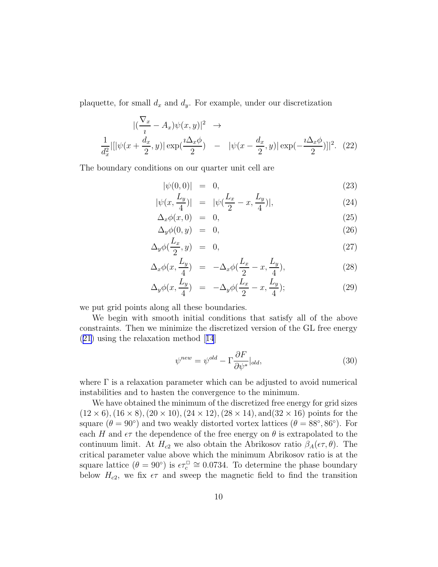plaquette, for small  $d_x$  and  $d_y$ . For example, under our discretization

$$
\begin{aligned}\n|(\frac{\nabla_x}{i} - A_x)\psi(x, y)|^2 &\to \\
\frac{1}{d_x^2}|\left[|\psi(x + \frac{d_x}{2}, y)| \exp(\frac{i\Delta_x \phi}{2}) - |\psi(x - \frac{d_x}{2}, y)| \exp(-\frac{i\Delta_x \phi}{2})|\right]^2.\n\end{aligned}
$$

The boundary conditions on our quarter unit cell are

$$
|\psi(0,0)| = 0, \t(23)
$$

$$
|\psi(x, \frac{L_y}{4})| = |\psi(\frac{L_x}{2} - x, \frac{L_y}{4})|, \tag{24}
$$

$$
\Delta_x \phi(x,0) = 0, \tag{25}
$$

$$
\Delta_y \phi(0, y) = 0, \tag{26}
$$

$$
\Delta_y \phi(\frac{L_x}{2}, y) = 0, \tag{27}
$$

$$
\Delta_x \phi(x, \frac{L_y}{4}) = -\Delta_x \phi(\frac{L_x}{2} - x, \frac{L_y}{4}), \qquad (28)
$$

$$
\Delta_y \phi(x, \frac{L_y}{4}) = -\Delta_y \phi(\frac{L_x}{2} - x, \frac{L_y}{4}); \tag{29}
$$

we put grid points along all these boundaries.

We begin with smooth initial conditions that satisfy all of the above constraints. Then we minimize the discretized version of the GL free energy ([21\)](#page-7-0) using the relaxation method[[14](#page-12-0)]

$$
\psi^{new} = \psi^{old} - \Gamma \frac{\partial F}{\partial \psi^*} \big|_{old},\tag{30}
$$

where  $\Gamma$  is a relaxation parameter which can be adjusted to avoid numerical instabilities and to hasten the convergence to the minimum.

We have obtained the minimum of the discretized free energy for grid sizes  $(12 \times 6), (16 \times 8), (20 \times 10), (24 \times 12), (28 \times 14), \text{and} (32 \times 16) \text{ points for the}$ square  $(\theta = 90^{\circ})$  and two weakly distorted vortex lattices  $(\theta = 88^{\circ}, 86^{\circ})$ . For each H and  $\epsilon\tau$  the dependence of the free energy on  $\theta$  is extrapolated to the continuum limit. At  $H_{c2}$  we also obtain the Abrikosov ratio  $\beta_A(\epsilon \tau, \theta)$ . The critical parameter value above which the minimum Abrikosov ratio is at the square lattice  $(\theta = 90^{\circ})$  is  $\epsilon \tau_c^{\square} \cong 0.0734$ . To determine the phase boundary below  $H_{c2}$ , we fix  $\epsilon\tau$  and sweep the magnetic field to find the transition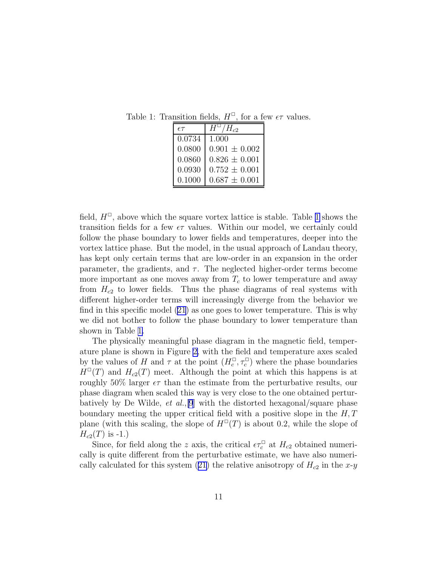Table 1: Transition fields,  $H^{\Box}$ , for a few  $\epsilon\tau$  values.

| $\epsilon \tau$ | $/H_{c2}$<br>$H^{\,\omega}$ . |
|-----------------|-------------------------------|
| 0.0734          | 1.000                         |
| 0.0800          | $0.901 \pm 0.002$             |
| 0.0860          | $0.826 \pm 0.001$             |
| 0.0930          | $0.752 \pm 0.001$             |
| 0.1000          | $0.687 \pm 0.001$             |

field,  $H^{\Box}$ , above which the square vortex lattice is stable. Table 1 shows the transition fields for a few  $\epsilon\tau$  values. Within our model, we certainly could follow the phase boundary to lower fields and temperatures, deeper into the vortex lattice phase. But the model, in the usual approach of Landau theory, has kept only certain terms that are low-order in an expansion in the order parameter, the gradients, and  $\tau$ . The neglected higher-order terms become more important as one moves away from  $T_c$  to lower temperature and away from  $H_{c2}$  to lower fields. Thus the phase diagrams of real systems with different higher-order terms will increasingly diverge from the behavior we find in this specific model [\(21\)](#page-7-0) as one goes to lower temperature. This is why we did not bother to follow the phase boundary to lower temperature than shown in Table 1.

The physically meaningful phase diagram in the magnetic field, temperature plane is shown in Figure [2,](#page-14-0) with the field and temperature axes scaled by the values of H and  $\tau$  at the point  $(H_c^{\Box}, \tau_c^{\Box})$  where the phase boundaries  $H^{\square}(T)$  and  $H_{c2}(T)$  meet. Although the point at which this happens is at roughly 50% larger  $\epsilon\tau$  than the estimate from the perturbative results, our phase diagram when scaled this way is very close to the one obtained perturbatively by De Wilde, *et al.*, [\[9](#page-12-0)] with the distorted hexagonal/square phase boundary meeting the upper critical field with a positive slope in the  $H, T$ plane (with this scaling, the slope of  $H^{\square}(T)$  is about 0.2, while the slope of  $H_{c2}(T)$  is -1.)

Since, for field along the z axis, the critical  $\epsilon \tau_c^{\square}$  at  $H_{c2}$  obtained numerically is quite different from the perturbative estimate, we have also numeri-callycalculated for this system ([21\)](#page-7-0) the relative anisotropy of  $H_{c2}$  in the x-y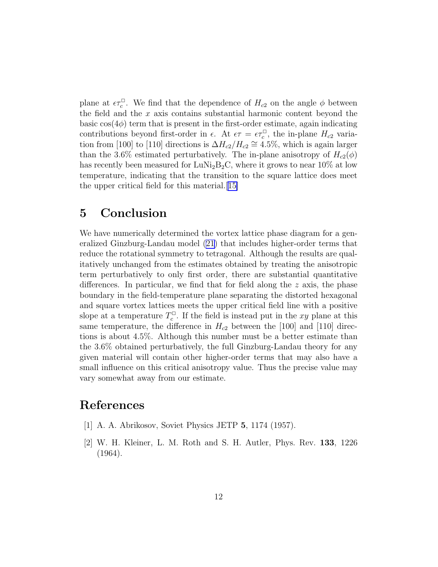<span id="page-11-0"></span>plane at  $\epsilon \tau_c^{\Box}$ . We find that the dependence of  $H_{c2}$  on the angle  $\phi$  between the field and the  $x$  axis contains substantial harmonic content beyond the basic  $cos(4\phi)$  term that is present in the first-order estimate, again indicating contributions beyond first-order in  $\epsilon$ . At  $\epsilon \tau = \epsilon \tau_c^{\square}$ , the in-plane  $H_{c2}$  variation from [100] to [110] directions is  $\Delta H_{c2}/H_{c2} \cong 4.5\%$ , which is again larger than the 3.6% estimated perturbatively. The in-plane anisotropy of  $H_{c2}(\phi)$ has recently been measured for  $\text{LuNi}_2\text{B}_2\text{C}$ , where it grows to near 10% at low temperature, indicating that the transition to the square lattice does meet the upper critical field for this material.[[15\]](#page-12-0)

# 5 Conclusion

We have numerically determined the vortex lattice phase diagram for a generalized Ginzburg-Landau model [\(21\)](#page-7-0) that includes higher-order terms that reduce the rotational symmetry to tetragonal. Although the results are qualitatively unchanged from the estimates obtained by treating the anisotropic term perturbatively to only first order, there are substantial quantitative differences. In particular, we find that for field along the z axis, the phase boundary in the field-temperature plane separating the distorted hexagonal and square vortex lattices meets the upper critical field line with a positive slope at a temperature  $T_c^{\Box}$ <sup> $\frac{1}{c}$ </sup>. If the field is instead put in the xy plane at this same temperature, the difference in  $H_{c2}$  between the [100] and [110] directions is about 4.5%. Although this number must be a better estimate than the 3.6% obtained perturbatively, the full Ginzburg-Landau theory for any given material will contain other higher-order terms that may also have a small influence on this critical anisotropy value. Thus the precise value may vary somewhat away from our estimate.

# References

- [1] A. A. Abrikosov, Soviet Physics JETP 5, 1174 (1957).
- [2] W. H. Kleiner, L. M. Roth and S. H. Autler, Phys. Rev. 133, 1226 (1964).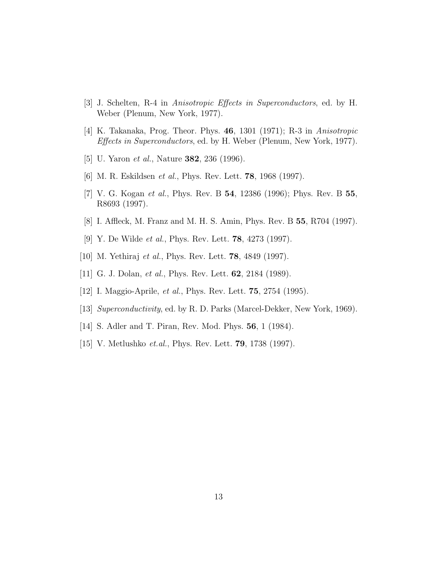- <span id="page-12-0"></span>[3] J. Schelten, R-4 in Anisotropic Effects in Superconductors, ed. by H. Weber (Plenum, New York, 1977).
- [4] K. Takanaka, Prog. Theor. Phys. 46, 1301 (1971); R-3 in Anisotropic Effects in Superconductors, ed. by H. Weber (Plenum, New York, 1977).
- [5] U. Yaron et al., Nature 382, 236 (1996).
- [6] M. R. Eskildsen et al., Phys. Rev. Lett. 78, 1968 (1997).
- [7] V. G. Kogan et al., Phys. Rev. B 54, 12386 (1996); Phys. Rev. B 55, R8693 (1997).
- [8] I. Affleck, M. Franz and M. H. S. Amin, Phys. Rev. B 55, R704 (1997).
- [9] Y. De Wilde *et al.*, Phys. Rev. Lett. **78**, 4273 (1997).
- [10] M. Yethiraj et al., Phys. Rev. Lett. 78, 4849 (1997).
- [11] G. J. Dolan, *et al.*, Phys. Rev. Lett. **62**, 2184 (1989).
- [12] I. Maggio-Aprile, *et al.*, Phys. Rev. Lett. **75**, 2754 (1995).
- [13] Superconductivity, ed. by R. D. Parks (Marcel-Dekker, New York, 1969).
- [14] S. Adler and T. Piran, Rev. Mod. Phys. 56, 1 (1984).
- [15] V. Metlushko *et.al.*, Phys. Rev. Lett. **79**, 1738 (1997).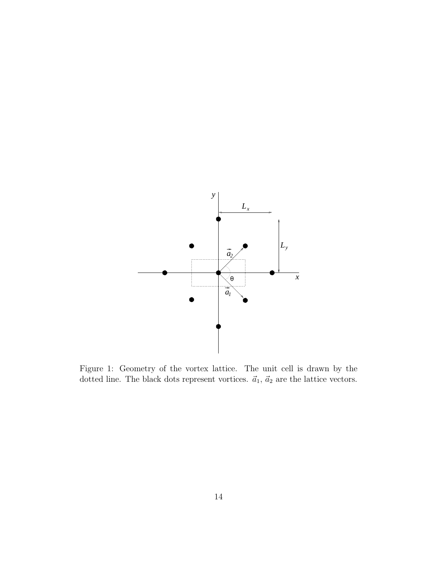

Figure 1: Geometry of the vortex lattice. The unit cell is drawn by the dotted line. The black dots represent vortices.  $\vec{a}_1$ ,  $\vec{a}_2$  are the lattice vectors.